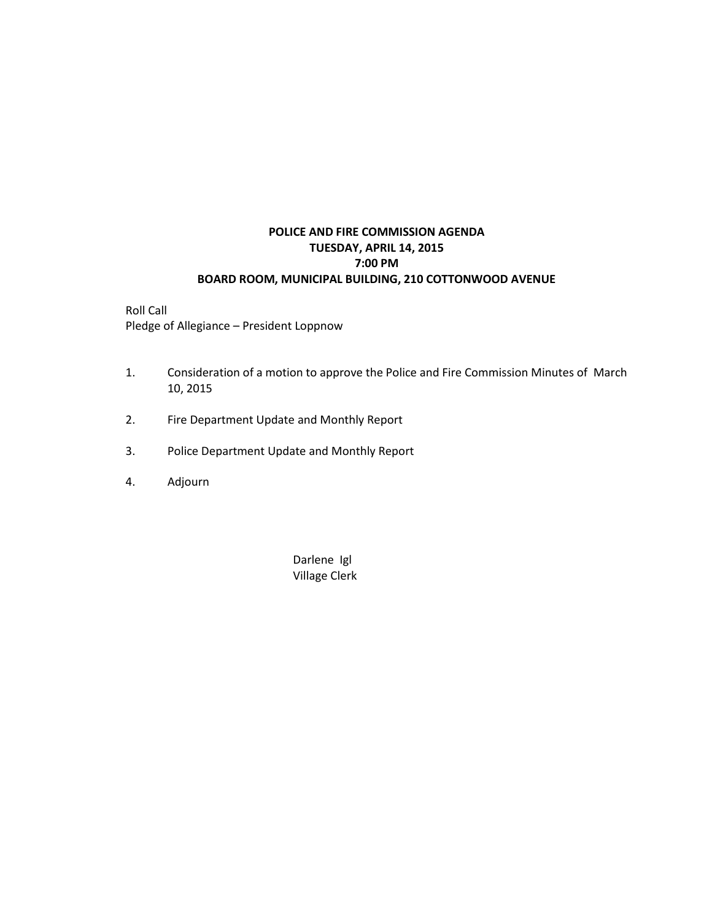## **POLICE AND FIRE COMMISSION AGENDA TUESDAY, APRIL 14, 2015 7:00 PM BOARD ROOM, MUNICIPAL BUILDING, 210 COTTONWOOD AVENUE**

Roll Call Pledge of Allegiance – President Loppnow

- 1. Consideration of a motion to approve the Police and Fire Commission Minutes of March 10, 2015
- 2. Fire Department Update and Monthly Report
- 3. Police Department Update and Monthly Report
- 4. Adjourn

Darlene Igl Village Clerk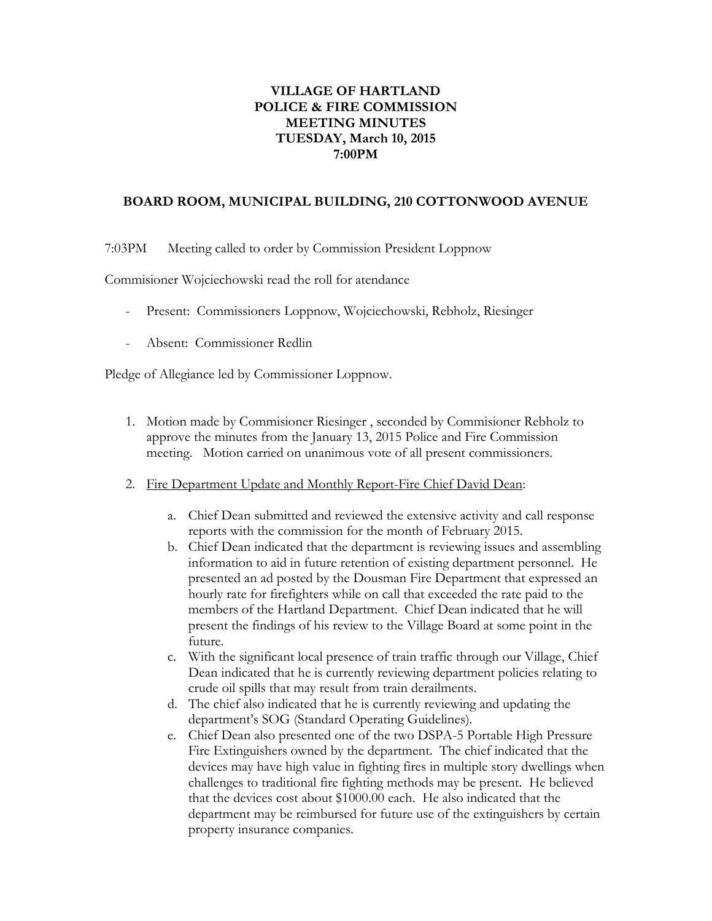## **VILLAGE OF HARTLAND POLICE & FIRE COMMISSION MEETING MINUTES TUESDAY, March 10, 2015 7:00PM**

## **BOARD ROOM, MUNICIPAL BUILDING, 210 COTTONWOOD AVENUE**

7:03PM Meeting called to order by Commission President Loppnow

Commisioner Wojciechowski read the roll for atendance

- Present: Commissioners Loppnow, Wojciechowski, Rebholz, Riesinger
- Absent: Commissioner Redlin

Pledge of Allegiance led by Commissioner Loppnow.

- 1. Motion made by Commisioner Riesinger , seconded by Commisioner Rebholz to approve the minutes from the January 13, 2015 Police and Fire Commission meeting. Motion carried on unanimous vote of all present commissioners.
- 2. Fire Department Update and Monthly Report-Fire Chief David Dean:
	- a. Chief Dean submitted and reviewed the extensive activity and call response reports with the commission for the month of February 2015.
	- b. Chief Dean indicated that the department is reviewing issues and assembling information to aid in future retention of existing department personnel. He presented an ad posted by the Dousman Fire Department that expressed an hourly rate for firefighters while on call that exceeded the rate paid to the members of the Hartland Department. Chief Dean indicated that he will present the findings of his review to the Village Board at some point in the future.
	- c. With the significant local presence of train traffic through our Village, Chief Dean indicated that he is currently reviewing department policies relating to crude oil spills that may result from train derailments.
	- d. The chief also indicated that he is currently reviewing and updating the department's SOG (Standard Operating Guidelines).
	- e. Chief Dean also presented one of the two DSPA-5 Portable High Pressure Fire Extinguishers owned by the department. The chief indicated that the devices may have high value in fighting fires in multiple story dwellings when challenges to traditional fire fighting methods may be present. He believed that the devices cost about \$1000.00 each. He also indicated that the department may be reimbursed for future use of the extinguishers by certain property insurance companies.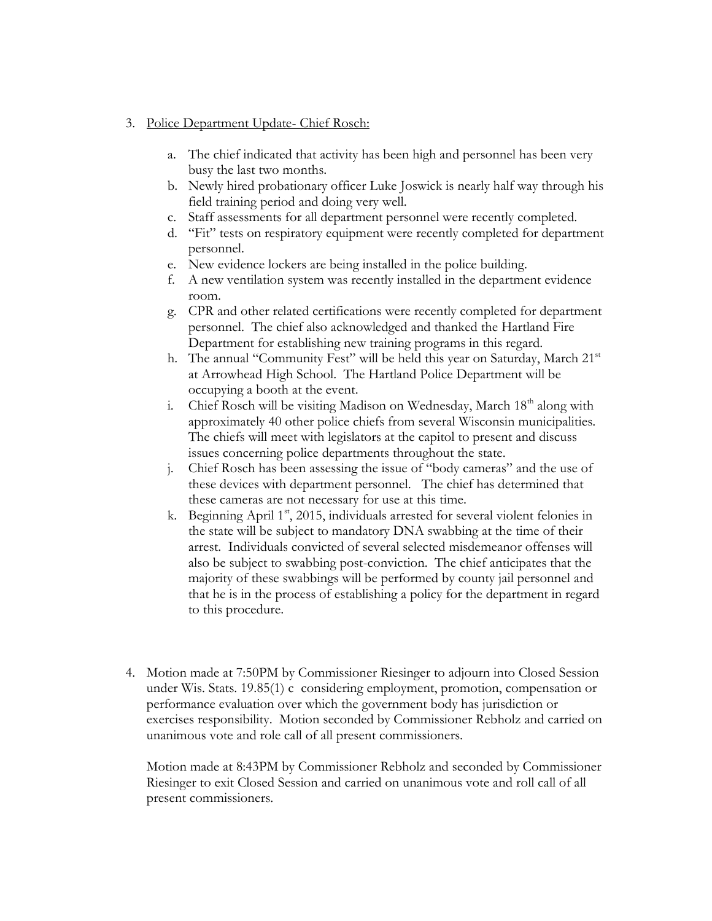## 3. Police Department Update- Chief Rosch:

- a. The chief indicated that activity has been high and personnel has been very busy the last two months.
- b. Newly hired probationary officer Luke Joswick is nearly half way through his field training period and doing very well.
- c. Staff assessments for all department personnel were recently completed.
- d. "Fit" tests on respiratory equipment were recently completed for department personnel.
- e. New evidence lockers are being installed in the police building.
- f. A new ventilation system was recently installed in the department evidence room.
- g. CPR and other related certifications were recently completed for department personnel. The chief also acknowledged and thanked the Hartland Fire Department for establishing new training programs in this regard.
- h. The annual "Community Fest" will be held this year on Saturday, March 21<sup>st</sup> at Arrowhead High School. The Hartland Police Department will be occupying a booth at the event.
- i. Chief Rosch will be visiting Madison on Wednesday, March  $18<sup>th</sup>$  along with approximately 40 other police chiefs from several Wisconsin municipalities. The chiefs will meet with legislators at the capitol to present and discuss issues concerning police departments throughout the state.
- j. Chief Rosch has been assessing the issue of "body cameras" and the use of these devices with department personnel. The chief has determined that these cameras are not necessary for use at this time.
- k. Beginning April 1<sup>st</sup>, 2015, individuals arrested for several violent felonies in the state will be subject to mandatory DNA swabbing at the time of their arrest. Individuals convicted of several selected misdemeanor offenses will also be subject to swabbing post-conviction. The chief anticipates that the majority of these swabbings will be performed by county jail personnel and that he is in the process of establishing a policy for the department in regard to this procedure.
- 4. Motion made at 7:50PM by Commissioner Riesinger to adjourn into Closed Session under Wis. Stats. 19.85(1) c considering employment, promotion, compensation or performance evaluation over which the government body has jurisdiction or exercises responsibility. Motion seconded by Commissioner Rebholz and carried on unanimous vote and role call of all present commissioners.

Motion made at 8:43PM by Commissioner Rebholz and seconded by Commissioner Riesinger to exit Closed Session and carried on unanimous vote and roll call of all present commissioners.